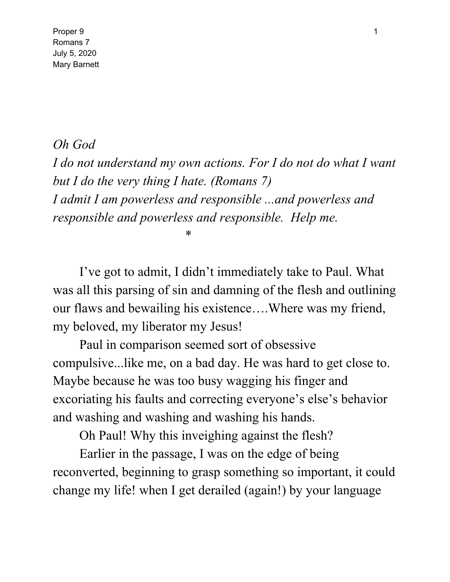Proper 9 and 2012 1 and 2012 1 and 2012 1 and 2012 1 and 2012 1 and 2012 1 and 2012 1 and 2012 1 and 2012 1 and 2012 1 and 2012 1 and 2012 1 and 2012 1 and 2012 1 and 2012 1 and 2012 1 and 2012 1 and 2012 1 and 2012 1 and Romans 7 July 5, 2020 Mary Barnett

## *Oh God*

*I do not understand my own actions. For I do not do what I want but I do the very thing I hate. (Romans 7) I admit I am powerless and responsible ...and powerless and responsible and powerless and responsible. Help me.*

\*

I've got to admit, I didn't immediately take to Paul. What was all this parsing of sin and damning of the flesh and outlining our flaws and bewailing his existence….Where was my friend, my beloved, my liberator my Jesus!

Paul in comparison seemed sort of obsessive compulsive...like me, on a bad day. He was hard to get close to. Maybe because he was too busy wagging his finger and excoriating his faults and correcting everyone's else's behavior and washing and washing and washing his hands.

Oh Paul! Why this inveighing against the flesh?

Earlier in the passage, I was on the edge of being reconverted, beginning to grasp something so important, it could change my life! when I get derailed (again!) by your language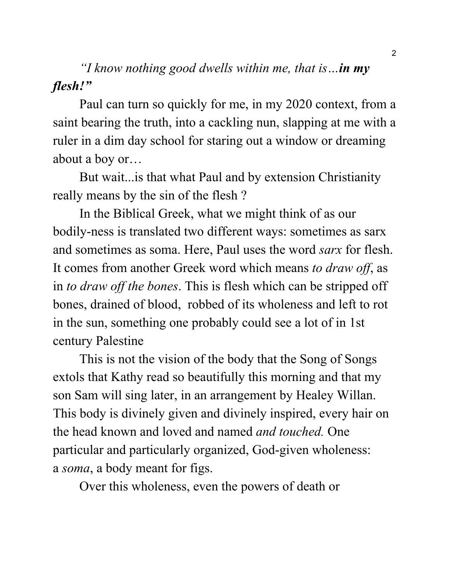*"I know nothing good dwells within me, that is…in my flesh!"*

Paul can turn so quickly for me, in my 2020 context, from a saint bearing the truth, into a cackling nun, slapping at me with a ruler in a dim day school for staring out a window or dreaming about a boy or…

But wait...is that what Paul and by extension Christianity really means by the sin of the flesh ?

In the Biblical Greek, what we might think of as our bodily-ness is translated two different ways: sometimes as sarx and sometimes as soma. Here, Paul uses the word *sarx* for flesh. It comes from another Greek word which means *to draw off*, as in *to draw off the bones*. This is flesh which can be stripped off bones, drained of blood, robbed of its wholeness and left to rot in the sun, something one probably could see a lot of in 1st century Palestine

This is not the vision of the body that the Song of Songs extols that Kathy read so beautifully this morning and that my son Sam will sing later, in an arrangement by Healey Willan. This body is divinely given and divinely inspired, every hair on the head known and loved and named *and touched.* One particular and particularly organized, God-given wholeness: a *soma*, a body meant for figs.

Over this wholeness, even the powers of death or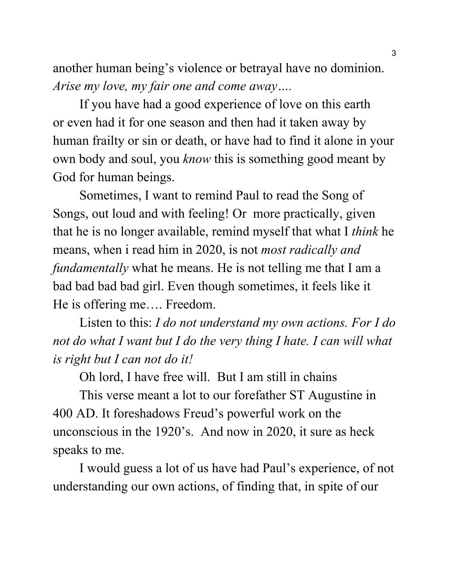another human being's violence or betrayal have no dominion. *Arise my love, my fair one and come away….*

If you have had a good experience of love on this earth or even had it for one season and then had it taken away by human frailty or sin or death, or have had to find it alone in your own body and soul, you *know* this is something good meant by God for human beings.

Sometimes, I want to remind Paul to read the Song of Songs, out loud and with feeling! Or more practically, given that he is no longer available, remind myself that what I *think* he means, when i read him in 2020, is not *most radically and fundamentally* what he means. He is not telling me that I am a bad bad bad bad girl. Even though sometimes, it feels like it He is offering me…. Freedom.

Listen to this: *I do not understand my own actions. For I do not do what I want but I do the very thing I hate. I can will what is right but I can not do it!*

Oh lord, I have free will. But I am still in chains

This verse meant a lot to our forefather ST Augustine in 400 AD. It foreshadows Freud's powerful work on the unconscious in the 1920's. And now in 2020, it sure as heck speaks to me.

I would guess a lot of us have had Paul's experience, of not understanding our own actions, of finding that, in spite of our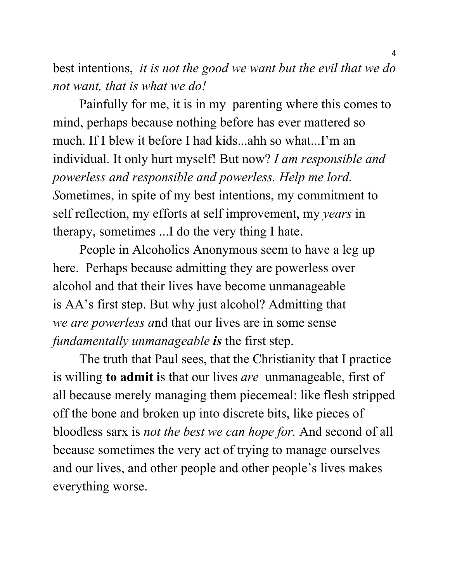best intentions, *it is not the good we want but the evil that we do not want, that is what we do!*

Painfully for me, it is in my parenting where this comes to mind, perhaps because nothing before has ever mattered so much. If I blew it before I had kids...ahh so what...I'm an individual. It only hurt myself! But now? *I am responsible and powerless and responsible and powerless. Help me lord. S*ometimes, in spite of my best intentions, my commitment to self reflection, my efforts at self improvement, my *years* in therapy, sometimes ...I do the very thing I hate.

People in Alcoholics Anonymous seem to have a leg up here. Perhaps because admitting they are powerless over alcohol and that their lives have become unmanageable is AA's first step. But why just alcohol? Admitting that *we are powerless a*nd that our lives are in some sense *fundamentally unmanageable is* the first step.

The truth that Paul sees, that the Christianity that I practice is willing **to admit i**s that our lives *are* unmanageable, first of all because merely managing them piecemeal: like flesh stripped off the bone and broken up into discrete bits, like pieces of bloodless sarx is *not the best we can hope for.* And second of all because sometimes the very act of trying to manage ourselves and our lives, and other people and other people's lives makes everything worse.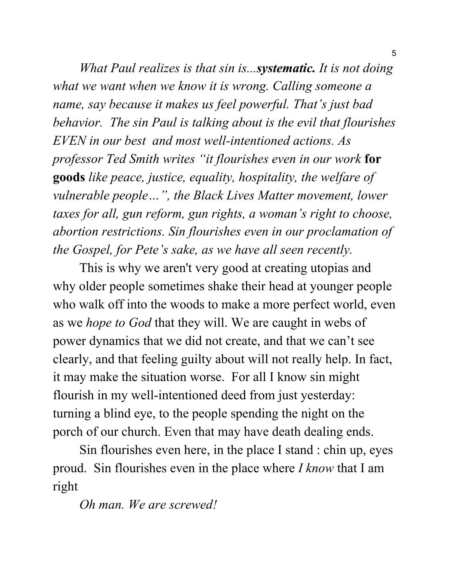*What Paul realizes is that sin is...systematic. It is not doing what we want when we know it is wrong. Calling someone a name, say because it makes us feel powerful. That's just bad behavior. The sin Paul is talking about is the evil that flourishes EVEN in our best and most well-intentioned actions. As professor Ted Smith writes "it flourishes even in our work* **for goods** *like peace, justice, equality, hospitality, the welfare of vulnerable people…", the Black Lives Matter movement, lower taxes for all, gun reform, gun rights, a woman's right to choose, abortion restrictions. Sin flourishes even in our proclamation of the Gospel, for Pete's sake, as we have all seen recently.*

This is why we aren't very good at creating utopias and why older people sometimes shake their head at younger people who walk off into the woods to make a more perfect world, even as we *hope to God* that they will. We are caught in webs of power dynamics that we did not create, and that we can't see clearly, and that feeling guilty about will not really help. In fact, it may make the situation worse. For all I know sin might flourish in my well-intentioned deed from just yesterday: turning a blind eye, to the people spending the night on the porch of our church. Even that may have death dealing ends.

Sin flourishes even here, in the place I stand : chin up, eyes proud. Sin flourishes even in the place where *I know* that I am right

*Oh man. We are screwed!*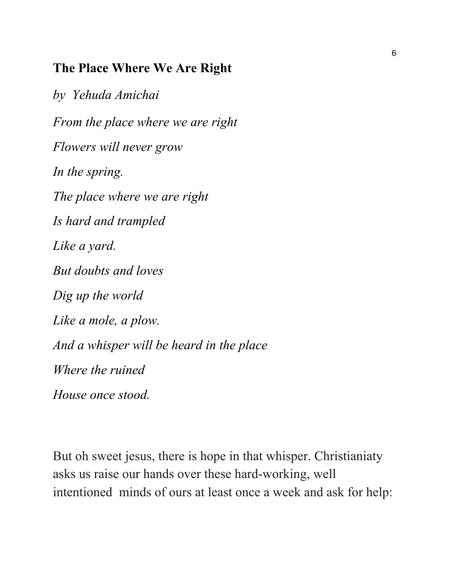## **The Place Where We Are Right**

*by Yehuda Amichai From the place where we are right Flowers will never grow In the spring. The place where we are right Is hard and trampled Like a yard. But doubts and loves Dig up the world Like a mole, a plow. And a whisper will be heard in the place Where the ruined House once stood.*

But oh sweet jesus, there is hope in that whisper. Christianiaty asks us raise our hands over these hard-working, well intentioned minds of ours at least once a week and ask for help: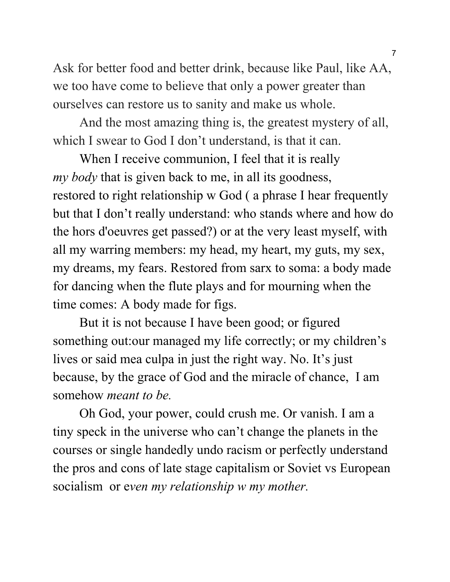Ask for better food and better drink, because like Paul, like AA, we too have come to believe that only a power greater than ourselves can restore us to sanity and make us whole.

And the most amazing thing is, the greatest mystery of all, which I swear to God I don't understand, is that it can.

When I receive communion, I feel that it is really *my body* that is given back to me, in all its goodness, restored to right relationship w God ( a phrase I hear frequently but that I don't really understand: who stands where and how do the hors d'oeuvres get passed?) or at the very least myself, with all my warring members: my head, my heart, my guts, my sex, my dreams, my fears. Restored from sarx to soma: a body made for dancing when the flute plays and for mourning when the time comes: A body made for figs.

But it is not because I have been good; or figured something out:our managed my life correctly; or my children's lives or said mea culpa in just the right way. No. It's just because, by the grace of God and the miracle of chance, I am somehow *meant to be.*

Oh God, your power, could crush me. Or vanish. I am a tiny speck in the universe who can't change the planets in the courses or single handedly undo racism or perfectly understand the pros and cons of late stage capitalism or Soviet vs European socialism or e*ven my relationship w my mother.*